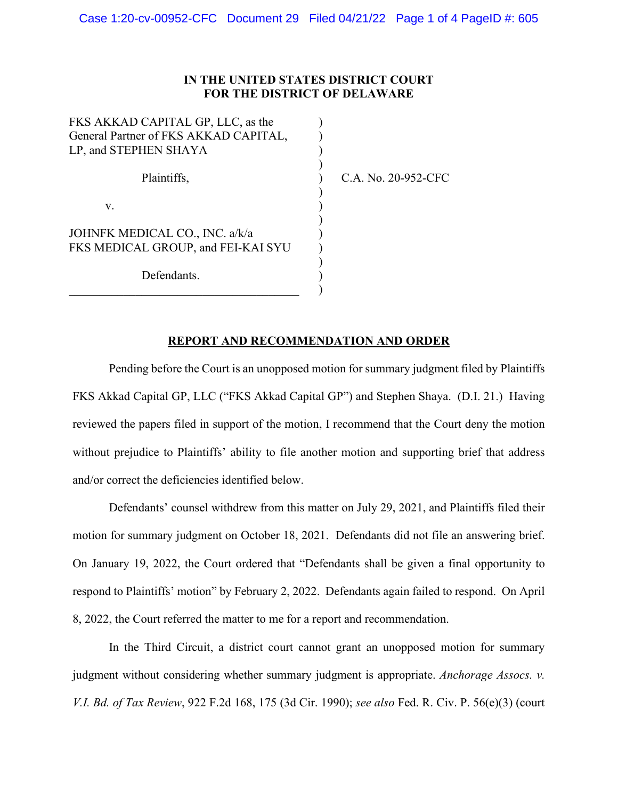## **IN THE UNITED STATES DISTRICT COURT FOR THE DISTRICT OF DELAWARE**

) ) ) ) ) ) ) ) ) ) ) ) )

| FKS AKKAD CAPITAL GP, LLC, as the<br>General Partner of FKS AKKAD CAPITAL, |  |
|----------------------------------------------------------------------------|--|
| LP, and STEPHEN SHAYA                                                      |  |
| Plaintiffs,                                                                |  |
| V.                                                                         |  |
| JOHNFK MEDICAL CO., INC. a/k/a<br>FKS MEDICAL GROUP, and FEI-KAI SYU       |  |
| Defendants.                                                                |  |

C.A. No. 20-952-CFC

## **REPORT AND RECOMMENDATION AND ORDER**

Pending before the Court is an unopposed motion for summary judgment filed by Plaintiffs FKS Akkad Capital GP, LLC ("FKS Akkad Capital GP") and Stephen Shaya. (D.I. 21.) Having reviewed the papers filed in support of the motion, I recommend that the Court deny the motion without prejudice to Plaintiffs' ability to file another motion and supporting brief that address and/or correct the deficiencies identified below.

Defendants' counsel withdrew from this matter on July 29, 2021, and Plaintiffs filed their motion for summary judgment on October 18, 2021. Defendants did not file an answering brief. On January 19, 2022, the Court ordered that "Defendants shall be given a final opportunity to respond to Plaintiffs' motion" by February 2, 2022. Defendants again failed to respond. On April 8, 2022, the Court referred the matter to me for a report and recommendation.

In the Third Circuit, a district court cannot grant an unopposed motion for summary judgment without considering whether summary judgment is appropriate. *Anchorage Assocs. v. V.I. Bd. of Tax Review*, 922 F.2d 168, 175 (3d Cir. 1990); *see also* Fed. R. Civ. P. 56(e)(3) (court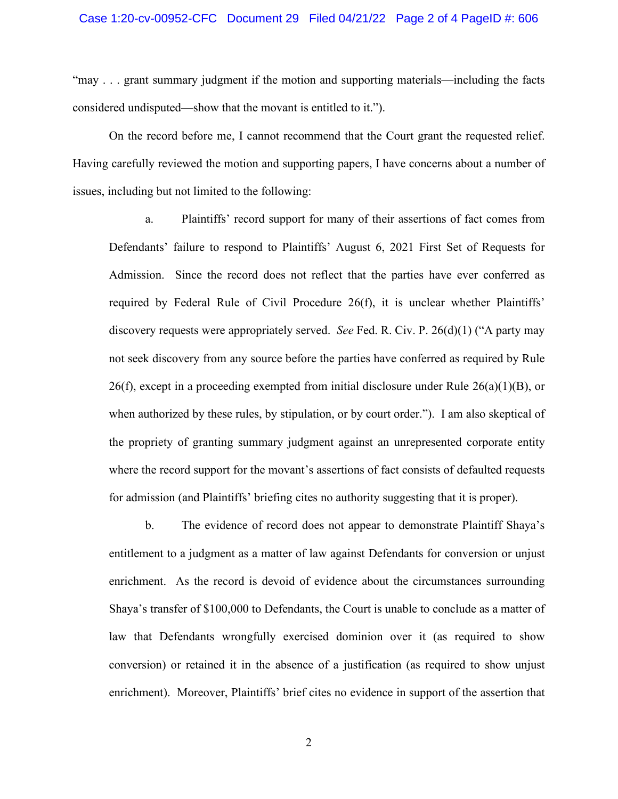"may . . . grant summary judgment if the motion and supporting materials—including the facts considered undisputed—show that the movant is entitled to it.").

On the record before me, I cannot recommend that the Court grant the requested relief. Having carefully reviewed the motion and supporting papers, I have concerns about a number of issues, including but not limited to the following:

a. Plaintiffs' record support for many of their assertions of fact comes from Defendants' failure to respond to Plaintiffs' August 6, 2021 First Set of Requests for Admission. Since the record does not reflect that the parties have ever conferred as required by Federal Rule of Civil Procedure 26(f), it is unclear whether Plaintiffs' discovery requests were appropriately served. *See* Fed. R. Civ. P. 26(d)(1) ("A party may not seek discovery from any source before the parties have conferred as required by Rule  $26(f)$ , except in a proceeding exempted from initial disclosure under Rule  $26(a)(1)(B)$ , or when authorized by these rules, by stipulation, or by court order."). I am also skeptical of the propriety of granting summary judgment against an unrepresented corporate entity where the record support for the movant's assertions of fact consists of defaulted requests for admission (and Plaintiffs' briefing cites no authority suggesting that it is proper).

b. The evidence of record does not appear to demonstrate Plaintiff Shaya's entitlement to a judgment as a matter of law against Defendants for conversion or unjust enrichment. As the record is devoid of evidence about the circumstances surrounding Shaya's transfer of \$100,000 to Defendants, the Court is unable to conclude as a matter of law that Defendants wrongfully exercised dominion over it (as required to show conversion) or retained it in the absence of a justification (as required to show unjust enrichment). Moreover, Plaintiffs' brief cites no evidence in support of the assertion that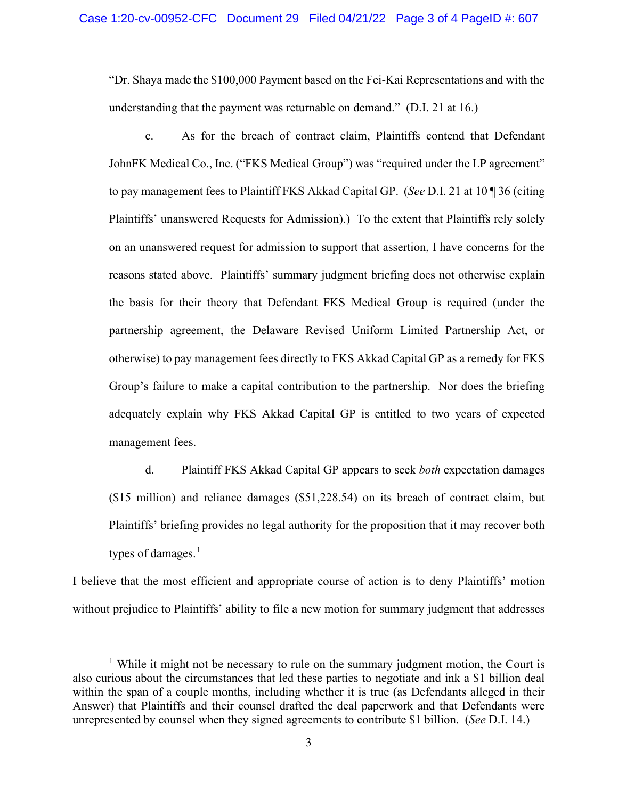"Dr. Shaya made the \$100,000 Payment based on the Fei-Kai Representations and with the understanding that the payment was returnable on demand." (D.I. 21 at 16.)

c. As for the breach of contract claim, Plaintiffs contend that Defendant JohnFK Medical Co., Inc. ("FKS Medical Group") was "required under the LP agreement" to pay management fees to Plaintiff FKS Akkad Capital GP. (*See* D.I. 21 at 10 ¶ 36 (citing Plaintiffs' unanswered Requests for Admission).) To the extent that Plaintiffs rely solely on an unanswered request for admission to support that assertion, I have concerns for the reasons stated above. Plaintiffs' summary judgment briefing does not otherwise explain the basis for their theory that Defendant FKS Medical Group is required (under the partnership agreement, the Delaware Revised Uniform Limited Partnership Act, or otherwise) to pay management fees directly to FKS Akkad Capital GP as a remedy for FKS Group's failure to make a capital contribution to the partnership. Nor does the briefing adequately explain why FKS Akkad Capital GP is entitled to two years of expected management fees.

d. Plaintiff FKS Akkad Capital GP appears to seek *both* expectation damages (\$15 million) and reliance damages (\$51,228.54) on its breach of contract claim, but Plaintiffs' briefing provides no legal authority for the proposition that it may recover both types of damages. $<sup>1</sup>$  $<sup>1</sup>$  $<sup>1</sup>$ </sup>

I believe that the most efficient and appropriate course of action is to deny Plaintiffs' motion without prejudice to Plaintiffs' ability to file a new motion for summary judgment that addresses

<span id="page-2-0"></span><sup>&</sup>lt;sup>1</sup> While it might not be necessary to rule on the summary judgment motion, the Court is also curious about the circumstances that led these parties to negotiate and ink a \$1 billion deal within the span of a couple months, including whether it is true (as Defendants alleged in their Answer) that Plaintiffs and their counsel drafted the deal paperwork and that Defendants were unrepresented by counsel when they signed agreements to contribute \$1 billion. (*See* D.I. 14.)